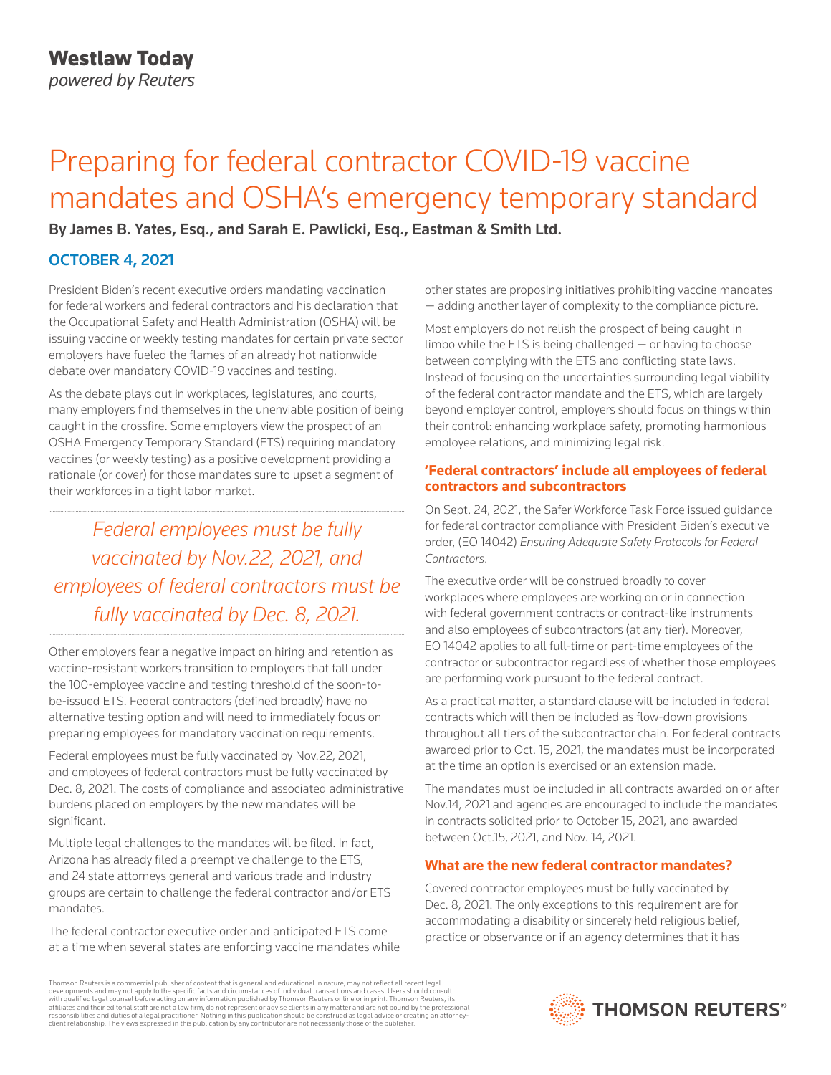# Preparing for federal contractor COVID-19 vaccine mandates and OSHA's emergency temporary standard

By James B. Yates, Esq., and Sarah E. Pawlicki, Esq., Eastman & Smith Ltd.

## OCTOBER 4, 2021

President Biden's recent executive orders mandating vaccination for federal workers and federal contractors and his declaration that the Occupational Safety and Health Administration (OSHA) will be issuing vaccine or weekly testing mandates for certain private sector employers have fueled the flames of an already hot nationwide debate over mandatory COVID-19 vaccines and testing.

As the debate plays out in workplaces, legislatures, and courts, many employers find themselves in the unenviable position of being caught in the crossfire. Some employers view the prospect of an OSHA Emergency Temporary Standard (ETS) requiring mandatory vaccines (or weekly testing) as a positive development providing a rationale (or cover) for those mandates sure to upset a segment of their workforces in a tight labor market.

*Federal employees must be fully vaccinated by Nov.22, 2021, and employees of federal contractors must be fully vaccinated by Dec. 8, 2021.*

Other employers fear a negative impact on hiring and retention as vaccine-resistant workers transition to employers that fall under the 100-employee vaccine and testing threshold of the soon-tobe-issued ETS. Federal contractors (defined broadly) have no alternative testing option and will need to immediately focus on preparing employees for mandatory vaccination requirements.

Federal employees must be fully vaccinated by Nov.22, 2021, and employees of federal contractors must be fully vaccinated by Dec. 8, 2021. The costs of compliance and associated administrative burdens placed on employers by the new mandates will be significant.

Multiple legal challenges to the mandates will be filed. In fact, Arizona has already filed a preemptive challenge to the ETS, and 24 state attorneys general and various trade and industry groups are certain to challenge the federal contractor and/or ETS mandates.

The federal contractor executive order and anticipated ETS come at a time when several states are enforcing vaccine mandates while other states are proposing initiatives prohibiting vaccine mandates — adding another layer of complexity to the compliance picture.

Most employers do not relish the prospect of being caught in limbo while the ETS is being challenged  $-$  or having to choose between complying with the ETS and conflicting state laws. Instead of focusing on the uncertainties surrounding legal viability of the federal contractor mandate and the ETS, which are largely beyond employer control, employers should focus on things within their control: enhancing workplace safety, promoting harmonious employee relations, and minimizing legal risk.

#### **'Federal contractors' include all employees of federal contractors and subcontractors**

On Sept. 24, 2021, the Safer Workforce Task Force issued guidance for federal contractor compliance with President Biden's executive order, (EO 14042) *Ensuring Adequate Safety Protocols for Federal Contractors*.

The executive order will be construed broadly to cover workplaces where employees are working on or in connection with federal government contracts or contract-like instruments and also employees of subcontractors (at any tier). Moreover, EO 14042 applies to all full-time or part-time employees of the contractor or subcontractor regardless of whether those employees are performing work pursuant to the federal contract.

As a practical matter, a standard clause will be included in federal contracts which will then be included as flow-down provisions throughout all tiers of the subcontractor chain. For federal contracts awarded prior to Oct. 15, 2021, the mandates must be incorporated at the time an option is exercised or an extension made.

The mandates must be included in all contracts awarded on or after Nov.14, 2021 and agencies are encouraged to include the mandates in contracts solicited prior to October 15, 2021, and awarded between Oct.15, 2021, and Nov. 14, 2021.

### **What are the new federal contractor mandates?**

Covered contractor employees must be fully vaccinated by Dec. 8, 2021. The only exceptions to this requirement are for accommodating a disability or sincerely held religious belief, practice or observance or if an agency determines that it has

Thomson Reuters is a commercial publisher of content that is general and educational in nature, may not reflect all recent legal developments and may not apply to the specific facts and circumstances of individual transactions and cases. Users should consult<br>with qualified legal counsel before acting on any information published by Thomson Reuters o responsibilities and duties of a legal practitioner. Nothing in this publication should be construed as legal advice or creating an attorneyclient relationship. The views expressed in this publication by any contributor are not necessarily those of the publisher.

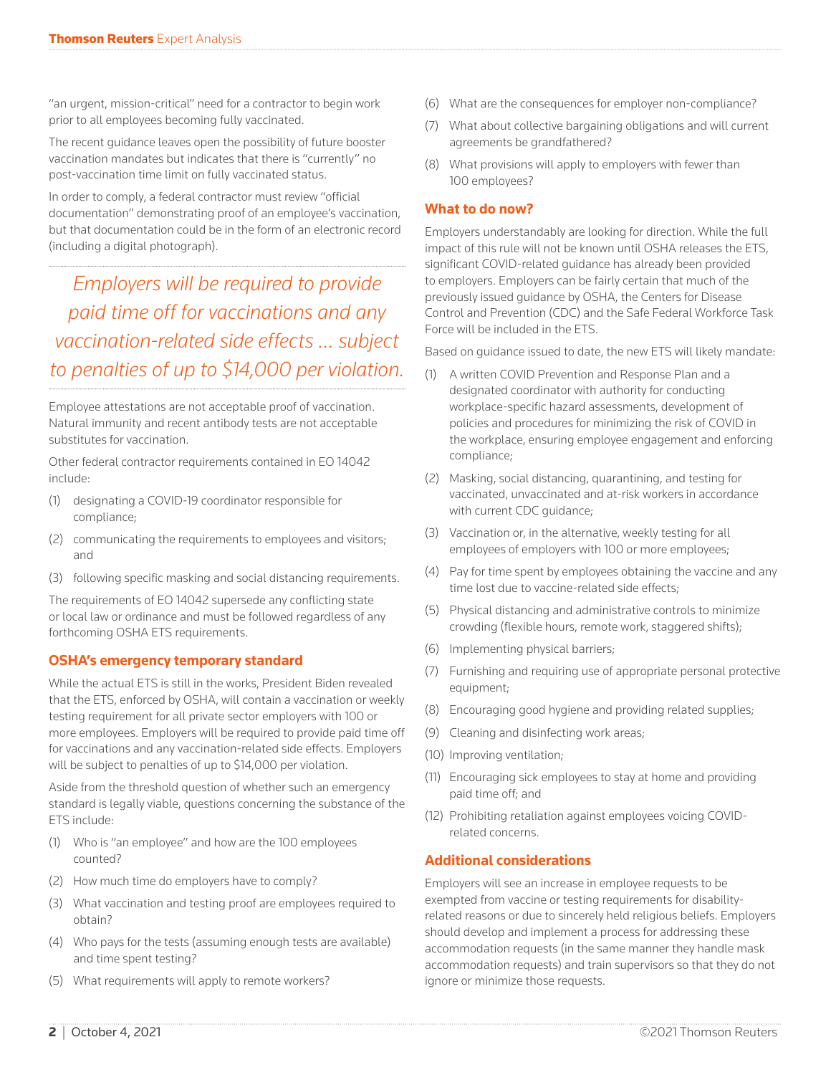"an urgent, mission-critical" need for a contractor to begin work prior to all employees becoming fully vaccinated.

The recent guidance leaves open the possibility of future booster vaccination mandates but indicates that there is "currently" no post-vaccination time limit on fully vaccinated status.

In order to comply, a federal contractor must review "official documentation" demonstrating proof of an employee's vaccination, but that documentation could be in the form of an electronic record (including a digital photograph).

*Employers will be required to provide paid time off for vaccinations and any vaccination-related side effects … subject to penalties of up to \$14,000 per violation.*

Employee attestations are not acceptable proof of vaccination. Natural immunity and recent antibody tests are not acceptable substitutes for vaccination.

Other federal contractor requirements contained in EO 14042 include:

- (1) designating a COVID-19 coordinator responsible for compliance;
- (2) communicating the requirements to employees and visitors; and
- (3) following specific masking and social distancing requirements.

The requirements of EO 14042 supersede any conflicting state or local law or ordinance and must be followed regardless of any forthcoming OSHA ETS requirements.

#### **OSHA's emergency temporary standard**

While the actual ETS is still in the works, President Biden revealed that the ETS, enforced by OSHA, will contain a vaccination or weekly testing requirement for all private sector employers with 100 or more employees. Employers will be required to provide paid time off for vaccinations and any vaccination-related side effects. Employers will be subject to penalties of up to \$14,000 per violation.

Aside from the threshold question of whether such an emergency standard is legally viable, questions concerning the substance of the ETS include:

- (1) Who is "an employee" and how are the 100 employees counted?
- (2) How much time do employers have to comply?
- (3) What vaccination and testing proof are employees required to obtain?
- (4) Who pays for the tests (assuming enough tests are available) and time spent testing?
- (5) What requirements will apply to remote workers?
- (6) What are the consequences for employer non-compliance?
- (7) What about collective bargaining obligations and will current agreements be grandfathered?
- (8) What provisions will apply to employers with fewer than 100 employees?

#### **What to do now?**

Employers understandably are looking for direction. While the full impact of this rule will not be known until OSHA releases the ETS, significant COVID-related guidance has already been provided to employers. Employers can be fairly certain that much of the previously issued guidance by OSHA, the Centers for Disease Control and Prevention (CDC) and the Safe Federal Workforce Task Force will be included in the ETS.

Based on guidance issued to date, the new ETS will likely mandate:

- (1) A written COVID Prevention and Response Plan and a designated coordinator with authority for conducting workplace-specific hazard assessments, development of policies and procedures for minimizing the risk of COVID in the workplace, ensuring employee engagement and enforcing compliance;
- (2) Masking, social distancing, quarantining, and testing for vaccinated, unvaccinated and at-risk workers in accordance with current CDC guidance;
- (3) Vaccination or, in the alternative, weekly testing for all employees of employers with 100 or more employees;
- (4) Pay for time spent by employees obtaining the vaccine and any time lost due to vaccine-related side effects;
- (5) Physical distancing and administrative controls to minimize crowding (flexible hours, remote work, staggered shifts);
- (6) Implementing physical barriers;
- (7) Furnishing and requiring use of appropriate personal protective equipment;
- (8) Encouraging good hygiene and providing related supplies;
- (9) Cleaning and disinfecting work areas;
- (10) Improving ventilation;
- (11) Encouraging sick employees to stay at home and providing paid time off; and
- (12) Prohibiting retaliation against employees voicing COVIDrelated concerns.

#### **Additional considerations**

Employers will see an increase in employee requests to be exempted from vaccine or testing requirements for disabilityrelated reasons or due to sincerely held religious beliefs. Employers should develop and implement a process for addressing these accommodation requests (in the same manner they handle mask accommodation requests) and train supervisors so that they do not ignore or minimize those requests.